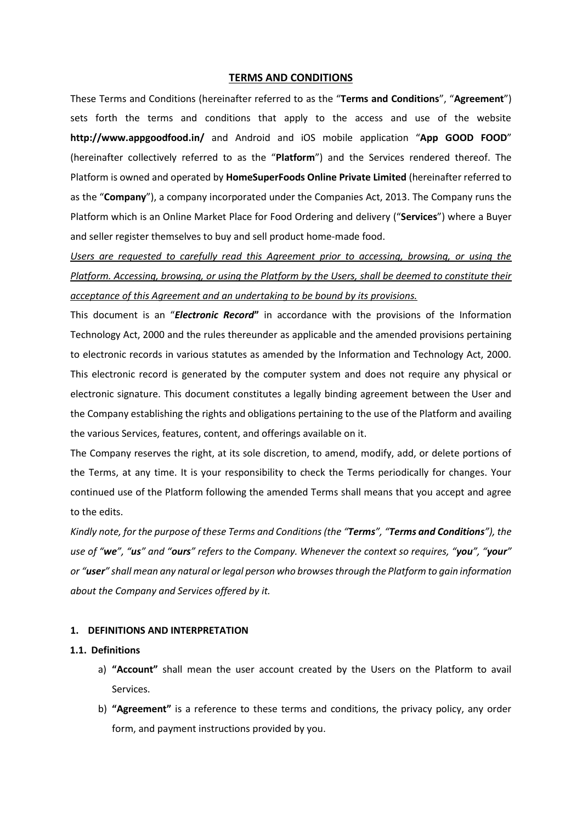### **TERMS AND CONDITIONS**

These Terms and Conditions (hereinafter referred to as the "**Terms and Conditions**", "**Agreement**") sets forth the terms and conditions that apply to the access and use of the website **http://www.appgoodfood.in/** and Android and iOS mobile application "**App GOOD FOOD**" (hereinafter collectively referred to as the "**Platform**") and the Services rendered thereof. The Platform is owned and operated by **HomeSuperFoods Online Private Limited** (hereinafter referred to as the "**Company**"), a company incorporated under the Companies Act, 2013. The Company runs the Platform which is an Online Market Place for Food Ordering and delivery ("**Services**") where a Buyer and seller register themselves to buy and sell product home-made food.

*Users are requested to carefully read this Agreement prior to accessing, browsing, or using the Platform. Accessing, browsing, or using the Platform by the Users, shall be deemed to constitute their acceptance of this Agreement and an undertaking to be bound by its provisions.*

This document is an "*Electronic Record***"** in accordance with the provisions of the Information Technology Act, 2000 and the rules thereunder as applicable and the amended provisions pertaining to electronic records in various statutes as amended by the Information and Technology Act, 2000. This electronic record is generated by the computer system and does not require any physical or electronic signature. This document constitutes a legally binding agreement between the User and the Company establishing the rights and obligations pertaining to the use of the Platform and availing the various Services, features, content, and offerings available on it.

The Company reserves the right, at its sole discretion, to amend, modify, add, or delete portions of the Terms, at any time. It is your responsibility to check the Terms periodically for changes. Your continued use of the Platform following the amended Terms shall means that you accept and agree to the edits.

*Kindly note, for the purpose of these Terms and Conditions (the "Terms", "Terms and Conditions"), the use of "we", "us" and "ours" refers to the Company. Whenever the context so requires, "you", "your" or "user" shall mean any natural or legal person who browses through the Platform to gain information about the Company and Services offered by it.* 

#### **1. DEFINITIONS AND INTERPRETATION**

### **1.1. Definitions**

- a) **"Account"** shall mean the user account created by the Users on the Platform to avail Services.
- b) **"Agreement"** is a reference to these terms and conditions, the privacy policy, any order form, and payment instructions provided by you.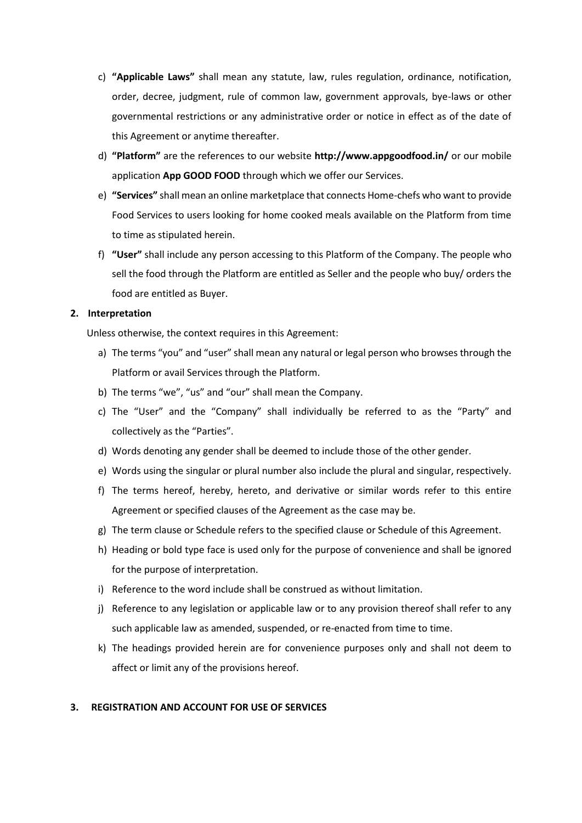- c) **"Applicable Laws"** shall mean any statute, law, rules regulation, ordinance, notification, order, decree, judgment, rule of common law, government approvals, bye-laws or other governmental restrictions or any administrative order or notice in effect as of the date of this Agreement or anytime thereafter.
- d) **"Platform"** are the references to our website **http://www.appgoodfood.in/** or our mobile application **App GOOD FOOD** through which we offer our Services.
- e) **"Services"** shall mean an online marketplace that connects Home-chefs who want to provide Food Services to users looking for home cooked meals available on the Platform from time to time as stipulated herein.
- f) **"User"** shall include any person accessing to this Platform of the Company. The people who sell the food through the Platform are entitled as Seller and the people who buy/ orders the food are entitled as Buyer.

# **2. Interpretation**

Unless otherwise, the context requires in this Agreement:

- a) The terms "you" and "user" shall mean any natural or legal person who browses through the Platform or avail Services through the Platform.
- b) The terms "we", "us" and "our" shall mean the Company.
- c) The "User" and the "Company" shall individually be referred to as the "Party" and collectively as the "Parties".
- d) Words denoting any gender shall be deemed to include those of the other gender.
- e) Words using the singular or plural number also include the plural and singular, respectively.
- f) The terms hereof, hereby, hereto, and derivative or similar words refer to this entire Agreement or specified clauses of the Agreement as the case may be.
- g) The term clause or Schedule refers to the specified clause or Schedule of this Agreement.
- h) Heading or bold type face is used only for the purpose of convenience and shall be ignored for the purpose of interpretation.
- i) Reference to the word include shall be construed as without limitation.
- j) Reference to any legislation or applicable law or to any provision thereof shall refer to any such applicable law as amended, suspended, or re-enacted from time to time.
- k) The headings provided herein are for convenience purposes only and shall not deem to affect or limit any of the provisions hereof.

## **3. REGISTRATION AND ACCOUNT FOR USE OF SERVICES**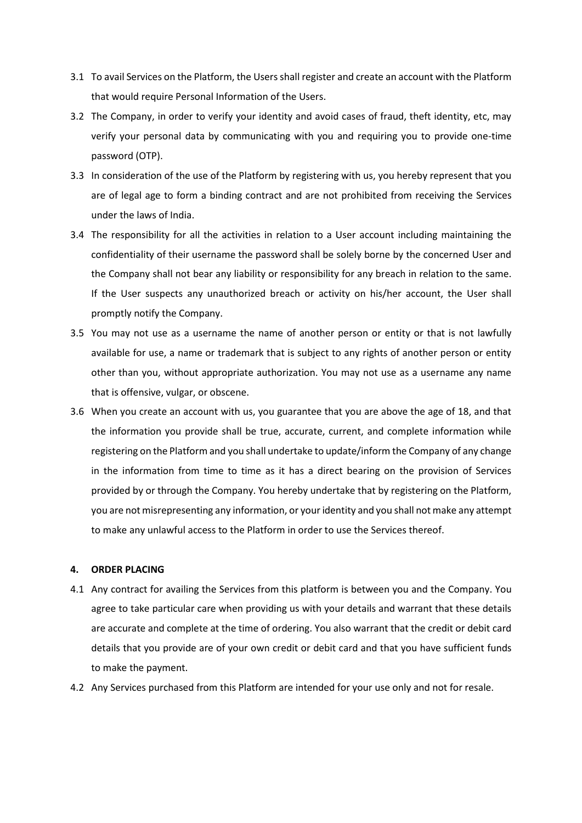- 3.1 To avail Services on the Platform, the Users shall register and create an account with the Platform that would require Personal Information of the Users.
- 3.2 The Company, in order to verify your identity and avoid cases of fraud, theft identity, etc, may verify your personal data by communicating with you and requiring you to provide one-time password (OTP).
- 3.3 In consideration of the use of the Platform by registering with us, you hereby represent that you are of legal age to form a binding contract and are not prohibited from receiving the Services under the laws of India.
- 3.4 The responsibility for all the activities in relation to a User account including maintaining the confidentiality of their username the password shall be solely borne by the concerned User and the Company shall not bear any liability or responsibility for any breach in relation to the same. If the User suspects any unauthorized breach or activity on his/her account, the User shall promptly notify the Company.
- 3.5 You may not use as a username the name of another person or entity or that is not lawfully available for use, a name or trademark that is subject to any rights of another person or entity other than you, without appropriate authorization. You may not use as a username any name that is offensive, vulgar, or obscene.
- 3.6 When you create an account with us, you guarantee that you are above the age of 18, and that the information you provide shall be true, accurate, current, and complete information while registering on the Platform and you shall undertake to update/inform the Company of any change in the information from time to time as it has a direct bearing on the provision of Services provided by or through the Company. You hereby undertake that by registering on the Platform, you are not misrepresenting any information, or your identity and you shall not make any attempt to make any unlawful access to the Platform in order to use the Services thereof.

## **4. ORDER PLACING**

- 4.1 Any contract for availing the Services from this platform is between you and the Company. You agree to take particular care when providing us with your details and warrant that these details are accurate and complete at the time of ordering. You also warrant that the credit or debit card details that you provide are of your own credit or debit card and that you have sufficient funds to make the payment.
- 4.2 Any Services purchased from this Platform are intended for your use only and not for resale.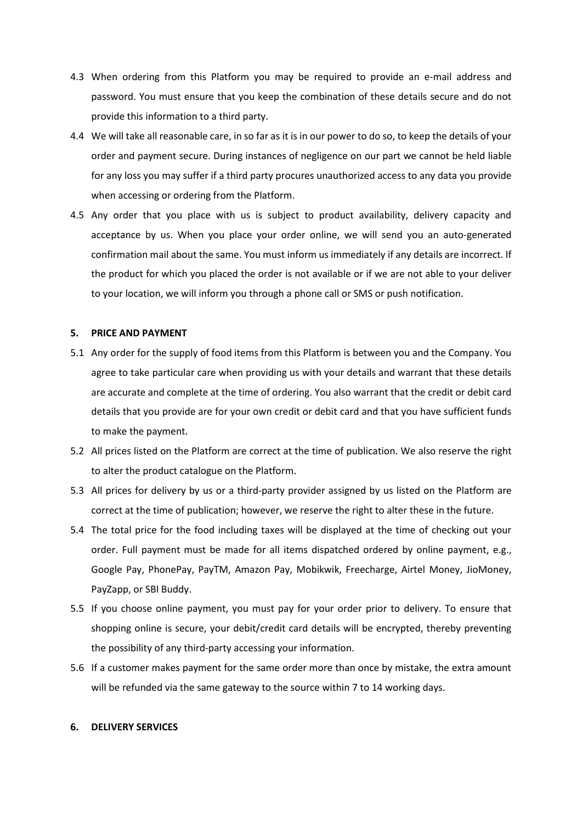- 4.3 When ordering from this Platform you may be required to provide an e-mail address and password. You must ensure that you keep the combination of these details secure and do not provide this information to a third party.
- 4.4 We will take all reasonable care, in so far as it is in our power to do so, to keep the details of your order and payment secure. During instances of negligence on our part we cannot be held liable for any loss you may suffer if a third party procures unauthorized access to any data you provide when accessing or ordering from the Platform.
- 4.5 Any order that you place with us is subject to product availability, delivery capacity and acceptance by us. When you place your order online, we will send you an auto-generated confirmation mail about the same. You must inform us immediately if any details are incorrect. If the product for which you placed the order is not available or if we are not able to your deliver to your location, we will inform you through a phone call or SMS or push notification.

# **5. PRICE AND PAYMENT**

- 5.1 Any order for the supply of food items from this Platform is between you and the Company. You agree to take particular care when providing us with your details and warrant that these details are accurate and complete at the time of ordering. You also warrant that the credit or debit card details that you provide are for your own credit or debit card and that you have sufficient funds to make the payment.
- 5.2 All prices listed on the Platform are correct at the time of publication. We also reserve the right to alter the product catalogue on the Platform.
- 5.3 All prices for delivery by us or a third-party provider assigned by us listed on the Platform are correct at the time of publication; however, we reserve the right to alter these in the future.
- 5.4 The total price for the food including taxes will be displayed at the time of checking out your order. Full payment must be made for all items dispatched ordered by online payment, e.g., Google Pay, PhonePay, PayTM, Amazon Pay, Mobikwik, Freecharge, Airtel Money, JioMoney, PayZapp, or SBI Buddy.
- 5.5 If you choose online payment, you must pay for your order prior to delivery. To ensure that shopping online is secure, your debit/credit card details will be encrypted, thereby preventing the possibility of any third-party accessing your information.
- 5.6 If a customer makes payment for the same order more than once by mistake, the extra amount will be refunded via the same gateway to the source within 7 to 14 working days.

#### **6. DELIVERY SERVICES**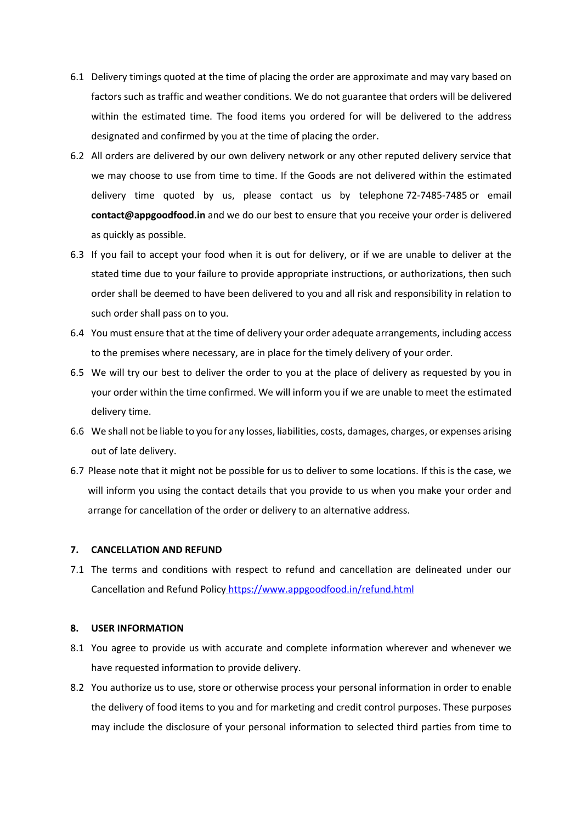- 6.1 Delivery timings quoted at the time of placing the order are approximate and may vary based on factors such as traffic and weather conditions. We do not guarantee that orders will be delivered within the estimated time. The food items you ordered for will be delivered to the address designated and confirmed by you at the time of placing the order.
- 6.2 All orders are delivered by our own delivery network or any other reputed delivery service that we may choose to use from time to time. If the Goods are not delivered within the estimated delivery time quoted by us, please contact us by telephone 72-7485-7485 or email **contact@appgoodfood.in** and we do our best to ensure that you receive your order is delivered as quickly as possible.
- 6.3 If you fail to accept your food when it is out for delivery, or if we are unable to deliver at the stated time due to your failure to provide appropriate instructions, or authorizations, then such order shall be deemed to have been delivered to you and all risk and responsibility in relation to such order shall pass on to you.
- 6.4 You must ensure that at the time of delivery your order adequate arrangements, including access to the premises where necessary, are in place for the timely delivery of your order.
- 6.5 We will try our best to deliver the order to you at the place of delivery as requested by you in your order within the time confirmed. We will inform you if we are unable to meet the estimated delivery time.
- 6.6 We shall not be liable to you for any losses, liabilities, costs, damages, charges, or expenses arising out of late delivery.
- 6.7 Please note that it might not be possible for us to deliver to some locations. If this is the case, we will inform you using the contact details that you provide to us when you make your order and arrange for cancellation of the order or delivery to an alternative address.

## **7. CANCELLATION AND REFUND**

7.1 The terms and conditions with respect to refund and cancellation are delineated under our Cancellation and Refund Policy <https://www.appgoodfood.in/refund.html>

## **8. USER INFORMATION**

- 8.1 You agree to provide us with accurate and complete information wherever and whenever we have requested information to provide delivery.
- 8.2 You authorize us to use, store or otherwise process your personal information in order to enable the delivery of food items to you and for marketing and credit control purposes. These purposes may include the disclosure of your personal information to selected third parties from time to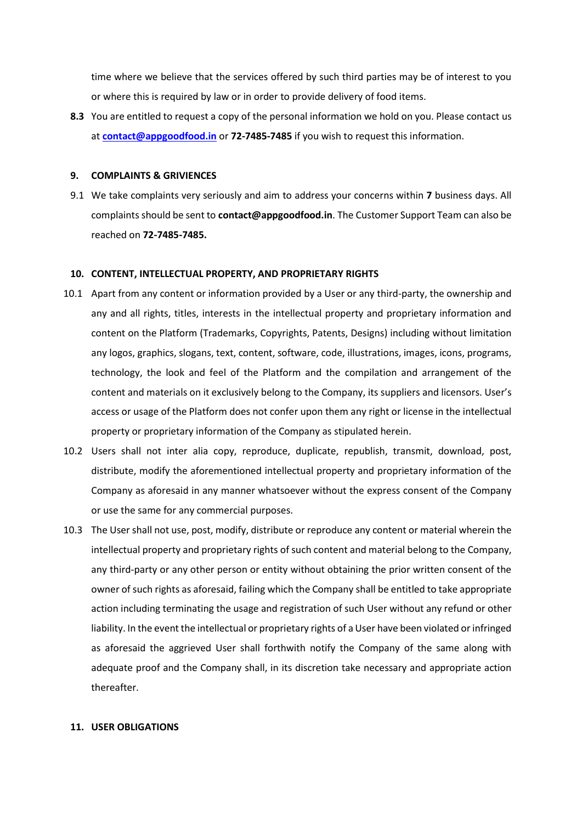time where we believe that the services offered by such third parties may be of interest to you or where this is required by law or in order to provide delivery of food items.

**8.3** You are entitled to request a copy of the personal information we hold on you. Please contact us at **[contact@appgoodfood.in](mailto:contact@appgoodfood.in)** or **72-7485-7485** if you wish to request this information.

#### **9. COMPLAINTS & GRIVIENCES**

9.1 We take complaints very seriously and aim to address your concerns within **7** business days. All complaints should be sent to **contact@appgoodfood.in**. The Customer Support Team can also be reached on **72-7485-7485.**

## **10. CONTENT, INTELLECTUAL PROPERTY, AND PROPRIETARY RIGHTS**

- 10.1 Apart from any content or information provided by a User or any third-party, the ownership and any and all rights, titles, interests in the intellectual property and proprietary information and content on the Platform (Trademarks, Copyrights, Patents, Designs) including without limitation any logos, graphics, slogans, text, content, software, code, illustrations, images, icons, programs, technology, the look and feel of the Platform and the compilation and arrangement of the content and materials on it exclusively belong to the Company, its suppliers and licensors. User's access or usage of the Platform does not confer upon them any right or license in the intellectual property or proprietary information of the Company as stipulated herein.
- 10.2 Users shall not inter alia copy, reproduce, duplicate, republish, transmit, download, post, distribute, modify the aforementioned intellectual property and proprietary information of the Company as aforesaid in any manner whatsoever without the express consent of the Company or use the same for any commercial purposes.
- 10.3 The User shall not use, post, modify, distribute or reproduce any content or material wherein the intellectual property and proprietary rights of such content and material belong to the Company, any third-party or any other person or entity without obtaining the prior written consent of the owner of such rights as aforesaid, failing which the Company shall be entitled to take appropriate action including terminating the usage and registration of such User without any refund or other liability. In the event the intellectual or proprietary rights of a User have been violated or infringed as aforesaid the aggrieved User shall forthwith notify the Company of the same along with adequate proof and the Company shall, in its discretion take necessary and appropriate action thereafter.

## **11. USER OBLIGATIONS**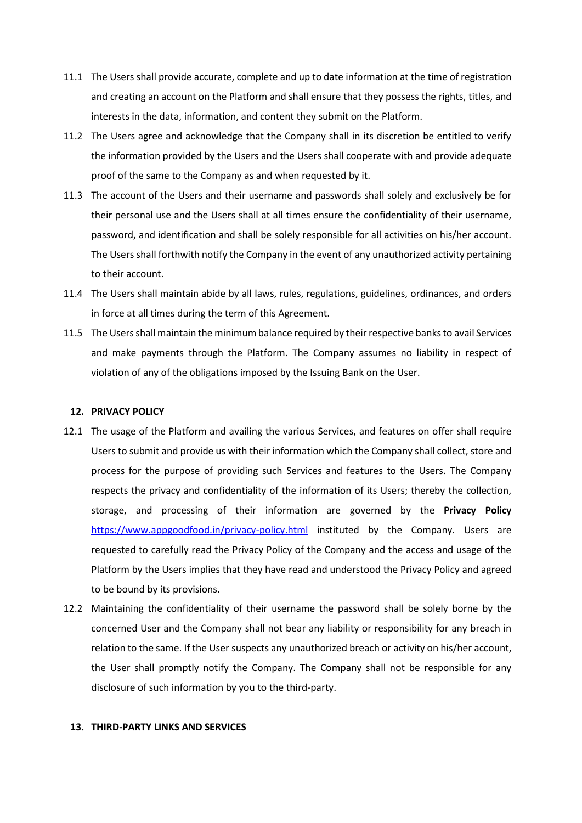- 11.1 The Users shall provide accurate, complete and up to date information at the time of registration and creating an account on the Platform and shall ensure that they possess the rights, titles, and interests in the data, information, and content they submit on the Platform.
- 11.2 The Users agree and acknowledge that the Company shall in its discretion be entitled to verify the information provided by the Users and the Users shall cooperate with and provide adequate proof of the same to the Company as and when requested by it.
- 11.3 The account of the Users and their username and passwords shall solely and exclusively be for their personal use and the Users shall at all times ensure the confidentiality of their username, password, and identification and shall be solely responsible for all activities on his/her account. The Users shall forthwith notify the Company in the event of any unauthorized activity pertaining to their account.
- 11.4 The Users shall maintain abide by all laws, rules, regulations, guidelines, ordinances, and orders in force at all times during the term of this Agreement.
- 11.5 The Users shall maintain the minimum balance required by their respective banks to avail Services and make payments through the Platform. The Company assumes no liability in respect of violation of any of the obligations imposed by the Issuing Bank on the User.

## **12. PRIVACY POLICY**

- 12.1 The usage of the Platform and availing the various Services, and features on offer shall require Users to submit and provide us with their information which the Company shall collect, store and process for the purpose of providing such Services and features to the Users. The Company respects the privacy and confidentiality of the information of its Users; thereby the collection, storage, and processing of their information are governed by the **Privacy Policy** <https://www.appgoodfood.in/privacy-policy.html> instituted by the Company. Users are requested to carefully read the Privacy Policy of the Company and the access and usage of the Platform by the Users implies that they have read and understood the Privacy Policy and agreed to be bound by its provisions.
- 12.2 Maintaining the confidentiality of their username the password shall be solely borne by the concerned User and the Company shall not bear any liability or responsibility for any breach in relation to the same. If the User suspects any unauthorized breach or activity on his/her account, the User shall promptly notify the Company. The Company shall not be responsible for any disclosure of such information by you to the third-party.

#### **13. THIRD-PARTY LINKS AND SERVICES**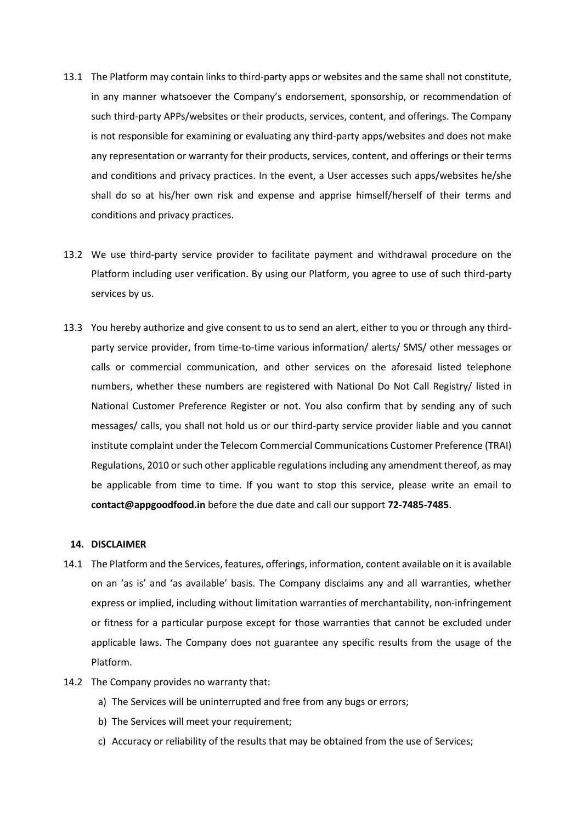- 13.1 The Platform may contain links to third-party apps or websites and the same shall not constitute, in any manner whatsoever the Company's endorsement, sponsorship, or recommendation of such third-party APPs/websites or their products, services, content, and offerings. The Company is not responsible for examining or evaluating any third-party apps/websites and does not make any representation or warranty for their products, services, content, and offerings or their terms and conditions and privacy practices. In the event, a User accesses such apps/websites he/she shall do so at his/her own risk and expense and apprise himself/herself of their terms and conditions and privacy practices.
- 13.2 We use third-party service provider to facilitate payment and withdrawal procedure on the Platform including user verification. By using our Platform, you agree to use of such third-party services by us.
- 13.3 You hereby authorize and give consent to us to send an alert, either to you or through any thirdparty service provider, from time-to-time various information/ alerts/ SMS/ other messages or calls or commercial communication, and other services on the aforesaid listed telephone numbers, whether these numbers are registered with National Do Not Call Registry/ listed in National Customer Preference Register or not. You also confirm that by sending any of such messages/ calls, you shall not hold us or our third-party service provider liable and you cannot institute complaint under the Telecom Commercial Communications Customer Preference (TRAI) Regulations, 2010 or such other applicable regulations including any amendment thereof, as may be applicable from time to time. If you want to stop this service, please write an email to **contact@appgoodfood.in** before the due date and call our support **72-7485-7485**.

### **14. DISCLAIMER**

- 14.1 The Platform and the Services, features, offerings, information, content available on it is available on an 'as is' and 'as available' basis. The Company disclaims any and all warranties, whether express or implied, including without limitation warranties of merchantability, non-infringement or fitness for a particular purpose except for those warranties that cannot be excluded under applicable laws. The Company does not guarantee any specific results from the usage of the Platform.
- 14.2 The Company provides no warranty that:
	- a) The Services will be uninterrupted and free from any bugs or errors;
	- b) The Services will meet your requirement;
	- c) Accuracy or reliability of the results that may be obtained from the use of Services;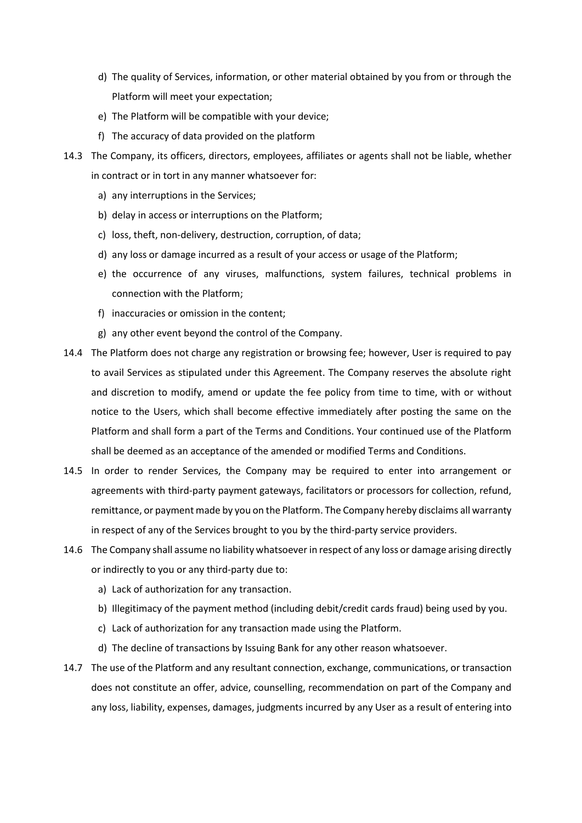- d) The quality of Services, information, or other material obtained by you from or through the Platform will meet your expectation;
- e) The Platform will be compatible with your device;
- f) The accuracy of data provided on the platform
- 14.3 The Company, its officers, directors, employees, affiliates or agents shall not be liable, whether in contract or in tort in any manner whatsoever for:
	- a) any interruptions in the Services;
	- b) delay in access or interruptions on the Platform;
	- c) loss, theft, non-delivery, destruction, corruption, of data;
	- d) any loss or damage incurred as a result of your access or usage of the Platform;
	- e) the occurrence of any viruses, malfunctions, system failures, technical problems in connection with the Platform;
	- f) inaccuracies or omission in the content;
	- g) any other event beyond the control of the Company.
- 14.4 The Platform does not charge any registration or browsing fee; however, User is required to pay to avail Services as stipulated under this Agreement. The Company reserves the absolute right and discretion to modify, amend or update the fee policy from time to time, with or without notice to the Users, which shall become effective immediately after posting the same on the Platform and shall form a part of the Terms and Conditions. Your continued use of the Platform shall be deemed as an acceptance of the amended or modified Terms and Conditions.
- 14.5 In order to render Services, the Company may be required to enter into arrangement or agreements with third-party payment gateways, facilitators or processors for collection, refund, remittance, or payment made by you on the Platform. The Company hereby disclaims all warranty in respect of any of the Services brought to you by the third-party service providers.
- 14.6 The Company shall assume no liability whatsoever in respect of any loss or damage arising directly or indirectly to you or any third-party due to:
	- a) Lack of authorization for any transaction.
	- b) Illegitimacy of the payment method (including debit/credit cards fraud) being used by you.
	- c) Lack of authorization for any transaction made using the Platform.
	- d) The decline of transactions by Issuing Bank for any other reason whatsoever.
- 14.7 The use of the Platform and any resultant connection, exchange, communications, or transaction does not constitute an offer, advice, counselling, recommendation on part of the Company and any loss, liability, expenses, damages, judgments incurred by any User as a result of entering into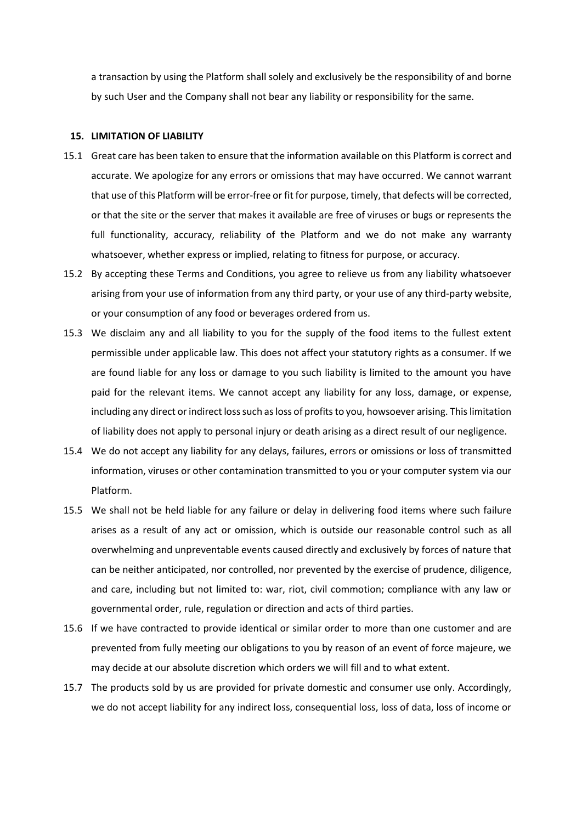a transaction by using the Platform shall solely and exclusively be the responsibility of and borne by such User and the Company shall not bear any liability or responsibility for the same.

#### **15. LIMITATION OF LIABILITY**

- 15.1 Great care has been taken to ensure that the information available on this Platform is correct and accurate. We apologize for any errors or omissions that may have occurred. We cannot warrant that use of this Platform will be error-free or fit for purpose, timely, that defects will be corrected, or that the site or the server that makes it available are free of viruses or bugs or represents the full functionality, accuracy, reliability of the Platform and we do not make any warranty whatsoever, whether express or implied, relating to fitness for purpose, or accuracy.
- 15.2 By accepting these Terms and Conditions, you agree to relieve us from any liability whatsoever arising from your use of information from any third party, or your use of any third-party website, or your consumption of any food or beverages ordered from us.
- 15.3 We disclaim any and all liability to you for the supply of the food items to the fullest extent permissible under applicable law. This does not affect your statutory rights as a consumer. If we are found liable for any loss or damage to you such liability is limited to the amount you have paid for the relevant items. We cannot accept any liability for any loss, damage, or expense, including any direct or indirect loss such as loss of profits to you, howsoever arising. This limitation of liability does not apply to personal injury or death arising as a direct result of our negligence.
- 15.4 We do not accept any liability for any delays, failures, errors or omissions or loss of transmitted information, viruses or other contamination transmitted to you or your computer system via our Platform.
- 15.5 We shall not be held liable for any failure or delay in delivering food items where such failure arises as a result of any act or omission, which is outside our reasonable control such as all overwhelming and unpreventable events caused directly and exclusively by forces of nature that can be neither anticipated, nor controlled, nor prevented by the exercise of prudence, diligence, and care, including but not limited to: war, riot, civil commotion; compliance with any law or governmental order, rule, regulation or direction and acts of third parties.
- 15.6 If we have contracted to provide identical or similar order to more than one customer and are prevented from fully meeting our obligations to you by reason of an event of force majeure, we may decide at our absolute discretion which orders we will fill and to what extent.
- 15.7 The products sold by us are provided for private domestic and consumer use only. Accordingly, we do not accept liability for any indirect loss, consequential loss, loss of data, loss of income or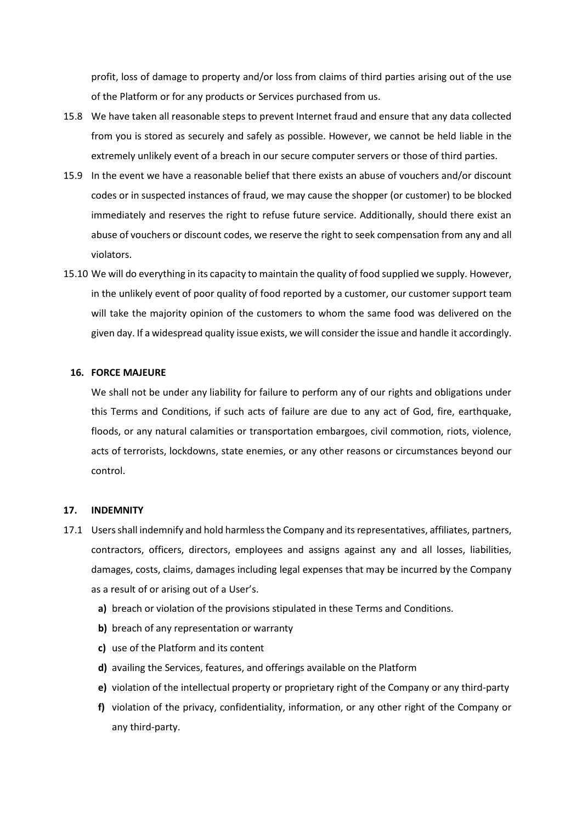profit, loss of damage to property and/or loss from claims of third parties arising out of the use of the Platform or for any products or Services purchased from us.

- 15.8 We have taken all reasonable steps to prevent Internet fraud and ensure that any data collected from you is stored as securely and safely as possible. However, we cannot be held liable in the extremely unlikely event of a breach in our secure computer servers or those of third parties.
- 15.9 In the event we have a reasonable belief that there exists an abuse of vouchers and/or discount codes or in suspected instances of fraud, we may cause the shopper (or customer) to be blocked immediately and reserves the right to refuse future service. Additionally, should there exist an abuse of vouchers or discount codes, we reserve the right to seek compensation from any and all violators.
- 15.10 We will do everything in its capacity to maintain the quality of food supplied we supply. However, in the unlikely event of poor quality of food reported by a customer, our customer support team will take the majority opinion of the customers to whom the same food was delivered on the given day. If a widespread quality issue exists, we will consider the issue and handle it accordingly.

#### **16. FORCE MAJEURE**

We shall not be under any liability for failure to perform any of our rights and obligations under this Terms and Conditions, if such acts of failure are due to any act of God, fire, earthquake, floods, or any natural calamities or transportation embargoes, civil commotion, riots, violence, acts of terrorists, lockdowns, state enemies, or any other reasons or circumstances beyond our control.

#### **17. INDEMNITY**

- 17.1 Users shall indemnify and hold harmless the Company and its representatives, affiliates, partners, contractors, officers, directors, employees and assigns against any and all losses, liabilities, damages, costs, claims, damages including legal expenses that may be incurred by the Company as a result of or arising out of a User's.
	- **a)** breach or violation of the provisions stipulated in these Terms and Conditions.
	- **b)** breach of any representation or warranty
	- **c)** use of the Platform and its content
	- **d)** availing the Services, features, and offerings available on the Platform
	- **e)** violation of the intellectual property or proprietary right of the Company or any third-party
	- **f)** violation of the privacy, confidentiality, information, or any other right of the Company or any third-party.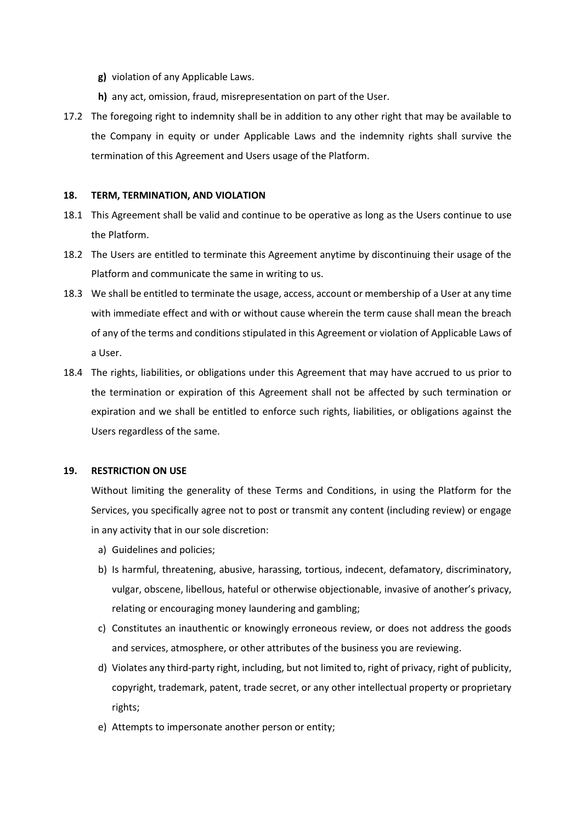- **g)** violation of any Applicable Laws.
- **h)** any act, omission, fraud, misrepresentation on part of the User.
- 17.2 The foregoing right to indemnity shall be in addition to any other right that may be available to the Company in equity or under Applicable Laws and the indemnity rights shall survive the termination of this Agreement and Users usage of the Platform.

### **18. TERM, TERMINATION, AND VIOLATION**

- 18.1 This Agreement shall be valid and continue to be operative as long as the Users continue to use the Platform.
- 18.2 The Users are entitled to terminate this Agreement anytime by discontinuing their usage of the Platform and communicate the same in writing to us.
- 18.3 We shall be entitled to terminate the usage, access, account or membership of a User at any time with immediate effect and with or without cause wherein the term cause shall mean the breach of any of the terms and conditions stipulated in this Agreement or violation of Applicable Laws of a User.
- 18.4 The rights, liabilities, or obligations under this Agreement that may have accrued to us prior to the termination or expiration of this Agreement shall not be affected by such termination or expiration and we shall be entitled to enforce such rights, liabilities, or obligations against the Users regardless of the same.

# **19. RESTRICTION ON USE**

Without limiting the generality of these Terms and Conditions, in using the Platform for the Services, you specifically agree not to post or transmit any content (including review) or engage in any activity that in our sole discretion:

- a) Guidelines and policies;
- b) Is harmful, threatening, abusive, harassing, tortious, indecent, defamatory, discriminatory, vulgar, obscene, libellous, hateful or otherwise objectionable, invasive of another's privacy, relating or encouraging money laundering and gambling;
- c) Constitutes an inauthentic or knowingly erroneous review, or does not address the goods and services, atmosphere, or other attributes of the business you are reviewing.
- d) Violates any third-party right, including, but not limited to, right of privacy, right of publicity, copyright, trademark, patent, trade secret, or any other intellectual property or proprietary rights;
- e) Attempts to impersonate another person or entity;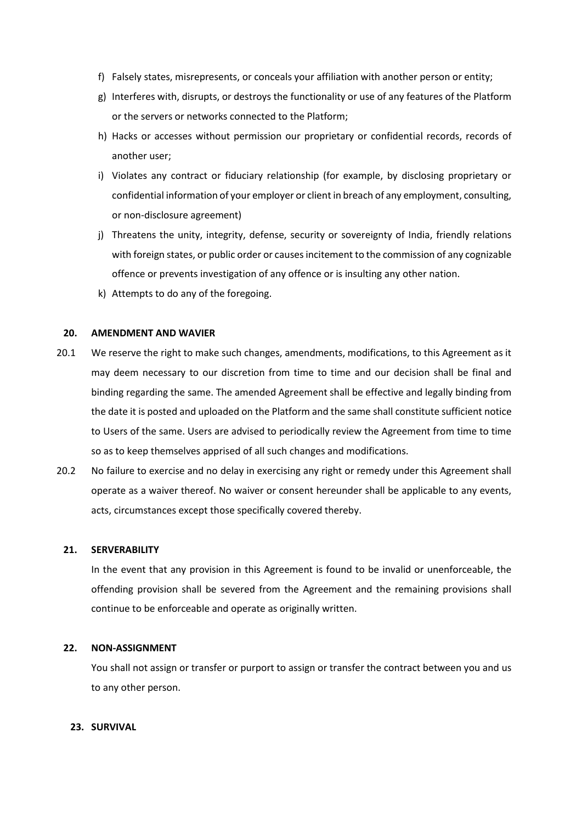- f) Falsely states, misrepresents, or conceals your affiliation with another person or entity;
- g) Interferes with, disrupts, or destroys the functionality or use of any features of the Platform or the servers or networks connected to the Platform;
- h) Hacks or accesses without permission our proprietary or confidential records, records of another user;
- i) Violates any contract or fiduciary relationship (for example, by disclosing proprietary or confidential information of your employer or client in breach of any employment, consulting, or non-disclosure agreement)
- j) Threatens the unity, integrity, defense, security or sovereignty of India, friendly relations with foreign states, or public order or causes incitement to the commission of any cognizable offence or prevents investigation of any offence or is insulting any other nation.
- k) Attempts to do any of the foregoing.

## **20. AMENDMENT AND WAVIER**

- 20.1 We reserve the right to make such changes, amendments, modifications, to this Agreement as it may deem necessary to our discretion from time to time and our decision shall be final and binding regarding the same. The amended Agreement shall be effective and legally binding from the date it is posted and uploaded on the Platform and the same shall constitute sufficient notice to Users of the same. Users are advised to periodically review the Agreement from time to time so as to keep themselves apprised of all such changes and modifications.
- 20.2 No failure to exercise and no delay in exercising any right or remedy under this Agreement shall operate as a waiver thereof. No waiver or consent hereunder shall be applicable to any events, acts, circumstances except those specifically covered thereby.

## **21. SERVERABILITY**

In the event that any provision in this Agreement is found to be invalid or unenforceable, the offending provision shall be severed from the Agreement and the remaining provisions shall continue to be enforceable and operate as originally written.

## **22. NON-ASSIGNMENT**

You shall not assign or transfer or purport to assign or transfer the contract between you and us to any other person.

## **23. SURVIVAL**